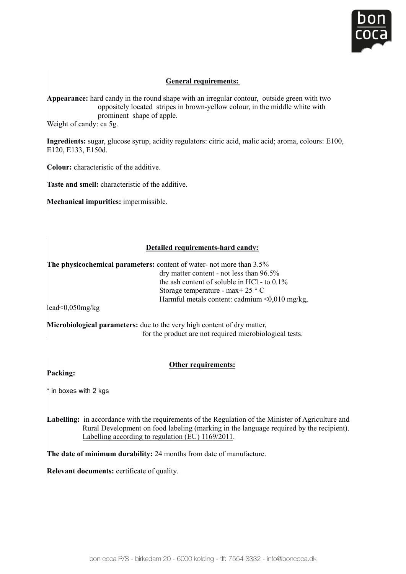

## **General requirements:**

Appearance: hard candy in the round shape with an irregular contour, outside green with two oppositely located stripes in brown-yellow colour, in the middle white with **Prominent shape of apple.** ca bg.  $\alpha$ 

Weight of candy: ca 5g. **Appearance:** hard candy in the round shape with an irregular contour, outside green with two

**Ingredients:** sugar, glucose syrup, acidity regulators: citric acid, malic acid; aroma, colours: E100,  $E120, E133, E150d.$ prominent shape of apple. Ingredients: sugar, glucose syrup, acidity regulators: citric acid, malic acid; aroma, colours: l Weight of candy: ca 5g.

**Colour:** characteristic of the additive. **Ingredients:** sugar, glucose syrup, acidity regulators: citric acid, malic acid; aroma, colours: E100, **Colour:** characterist

**Taste and smell:** characteristic of the additive.  Taste and smell: characteristic of the

**Mechanical impurities:** impermissible.

#### **Detailed requirements-hard candy:** dry matter content - not less than 96.5% and 96.5% and 96.5% and 96.5% and 96.5% and 96.5% and 96.5% and 96.5%

**The physicochemical parameters:** content of water- not more than 3.5% Storage temperature dry matter content - not less than 96.5%  $\frac{dy}{dt}$  matter content. Hot less than  $\frac{36.5}{80}$  the ash content of soluble in HCl - to 0.1% lead<0,050mg/kg  $\frac{dS}{dt}$  storage temperature - max+ 25  $\degree$  C  $\frac{1}{25}$  Coorage compensation  $\frac{1}{25}$  C Statement include content, california processes<br> $\frac{1}{2}$ 

 for the product are not required microbiological tests.  $H = \frac{1}{2} m \frac{1}{2} m$ 

**Solution** for the product are not required microbiological tests. **Packing: 200 Microbiological parameters:** due to the very high content of dry matter,

## **Other requirements:**

Packing:

 $\cdot$  in boxes with 2 kgs **the Regulation of the Regulation of the Minister of Agriculture and Agriculture and Agriculture and Agriculture and Agriculture and Agriculture and Agriculture and Agriculture and Agriculture and**  $R$  and  $R$  and  $R$  in the language required by the language required by the recipient of  $R$ 

**Labelling:** in accordance with the requirements of the Regulation of the Labelling according to regulation (EU) 1169/2011. Labelling: in accordance with the requirements of the Regulation of the Minister of Agriculture and Eabelling. In accordance with the requirements of the regulation of the Millister of Agriculture and Rural Development on food labeling (marking in the language required by the recipient).

**The date of minimum durability:** 24 months from date of manufacture.

**Relevant documents:** certificate of quality.